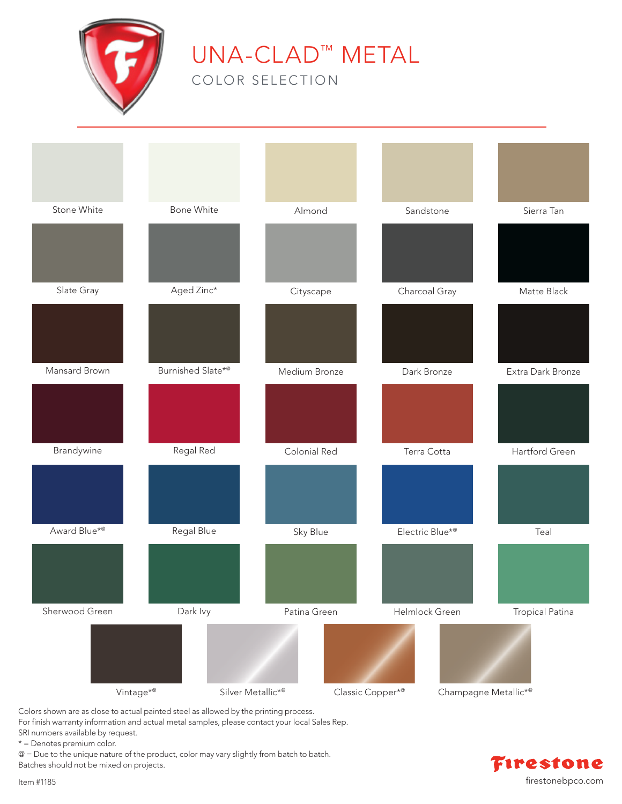

## UNA-CLAD™ METAL

COLOR SELECTION



Colors shown are as close to actual painted steel as allowed by the printing process.

For finish warranty information and actual metal samples, please contact your local Sales Rep.

SRI numbers available by request.

\* = Denotes premium color.

@ = Due to the unique nature of the product, color may vary slightly from batch to batch.

Batches should not be mixed on projects.